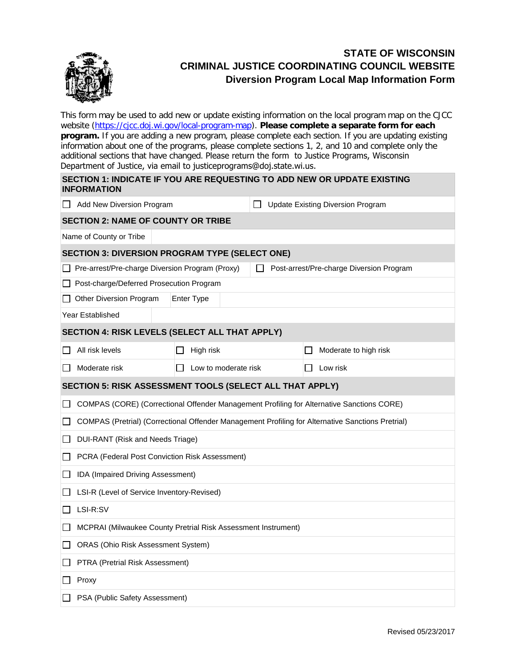

<u>ranski po</u>

## **STATE OF WISCONSIN CRIMINAL JUSTICE COORDINATING COUNCIL WEBSITE Diversion Program Local Map Information Form**

This form may be used to add new or update existing information on the local program map on the CJCC website [\(https://cjcc.doj.wi.gov/local-program-map\)](https://cjcc.doj.wi.gov/local-program-map). **Please complete a separate form for each program.** If you are adding a new program, please complete each section. If you are updating existing information about one of the programs, please complete sections 1, 2, and 10 and complete only the additional sections that have changed. Please return the form to Justice Programs, Wisconsin Department of Justice, via email to justiceprograms@doj.state.wi.us.

| <b>INFORMATION</b>                                                                          |                                                                                                   |                                          | SECTION 1: INDICATE IF YOU ARE REQUESTING TO ADD NEW OR UPDATE EXISTING |  |  |  |  |  |  |  |
|---------------------------------------------------------------------------------------------|---------------------------------------------------------------------------------------------------|------------------------------------------|-------------------------------------------------------------------------|--|--|--|--|--|--|--|
| Add New Diversion Program                                                                   |                                                                                                   | <b>Update Existing Diversion Program</b> |                                                                         |  |  |  |  |  |  |  |
| <b>SECTION 2: NAME OF COUNTY OR TRIBE</b>                                                   |                                                                                                   |                                          |                                                                         |  |  |  |  |  |  |  |
| Name of County or Tribe                                                                     |                                                                                                   |                                          |                                                                         |  |  |  |  |  |  |  |
| <b>SECTION 3: DIVERSION PROGRAM TYPE (SELECT ONE)</b>                                       |                                                                                                   |                                          |                                                                         |  |  |  |  |  |  |  |
| Pre-arrest/Pre-charge Diversion Program (Proxy)<br>Post-arrest/Pre-charge Diversion Program |                                                                                                   |                                          |                                                                         |  |  |  |  |  |  |  |
| Post-charge/Deferred Prosecution Program                                                    |                                                                                                   |                                          |                                                                         |  |  |  |  |  |  |  |
| Other Diversion Program                                                                     | Enter Type                                                                                        |                                          |                                                                         |  |  |  |  |  |  |  |
| <b>Year Established</b>                                                                     |                                                                                                   |                                          |                                                                         |  |  |  |  |  |  |  |
| SECTION 4: RISK LEVELS (SELECT ALL THAT APPLY)                                              |                                                                                                   |                                          |                                                                         |  |  |  |  |  |  |  |
| All risk levels                                                                             | High risk                                                                                         |                                          | Moderate to high risk                                                   |  |  |  |  |  |  |  |
| Moderate risk<br>$\perp$                                                                    | Low to moderate risk                                                                              |                                          | Low risk                                                                |  |  |  |  |  |  |  |
| SECTION 5: RISK ASSESSMENT TOOLS (SELECT ALL THAT APPLY)                                    |                                                                                                   |                                          |                                                                         |  |  |  |  |  |  |  |
|                                                                                             | COMPAS (CORE) (Correctional Offender Management Profiling for Alternative Sanctions CORE)         |                                          |                                                                         |  |  |  |  |  |  |  |
|                                                                                             | COMPAS (Pretrial) (Correctional Offender Management Profiling for Alternative Sanctions Pretrial) |                                          |                                                                         |  |  |  |  |  |  |  |
| DUI-RANT (Risk and Needs Triage)                                                            |                                                                                                   |                                          |                                                                         |  |  |  |  |  |  |  |
| PCRA (Federal Post Conviction Risk Assessment)                                              |                                                                                                   |                                          |                                                                         |  |  |  |  |  |  |  |
|                                                                                             | IDA (Impaired Driving Assessment)                                                                 |                                          |                                                                         |  |  |  |  |  |  |  |
| LSI-R (Level of Service Inventory-Revised)                                                  |                                                                                                   |                                          |                                                                         |  |  |  |  |  |  |  |
| LSI-R:SV                                                                                    |                                                                                                   |                                          |                                                                         |  |  |  |  |  |  |  |
| MCPRAI (Milwaukee County Pretrial Risk Assessment Instrument)                               |                                                                                                   |                                          |                                                                         |  |  |  |  |  |  |  |
| ORAS (Ohio Risk Assessment System)                                                          |                                                                                                   |                                          |                                                                         |  |  |  |  |  |  |  |
| PTRA (Pretrial Risk Assessment)                                                             |                                                                                                   |                                          |                                                                         |  |  |  |  |  |  |  |
| Proxy                                                                                       |                                                                                                   |                                          |                                                                         |  |  |  |  |  |  |  |
| PSA (Public Safety Assessment)                                                              |                                                                                                   |                                          |                                                                         |  |  |  |  |  |  |  |